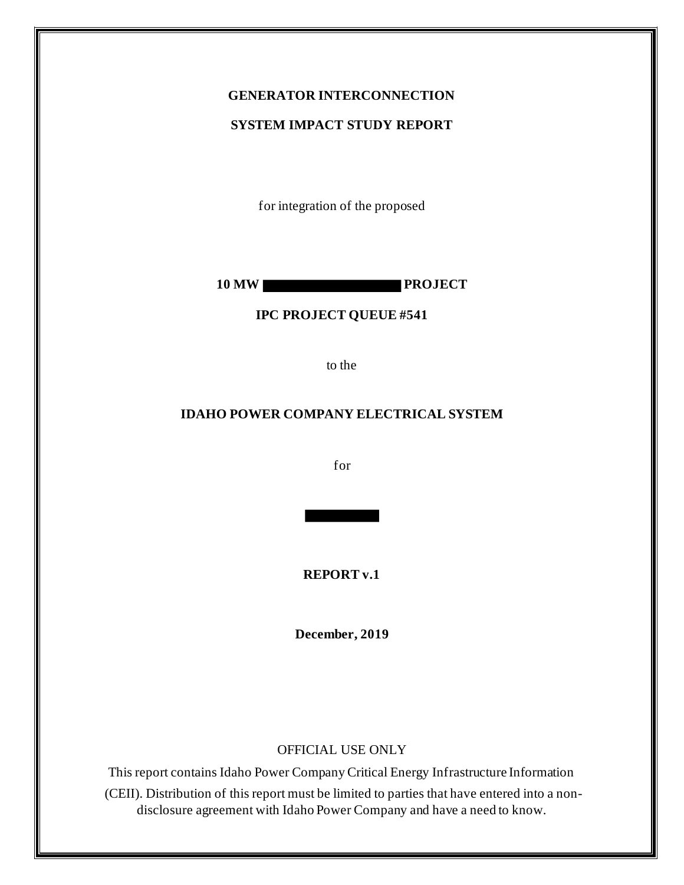# **GENERATOR INTERCONNECTION**

#### **SYSTEM IMPACT STUDY REPORT**

for integration of the proposed

**10 MW PROJECT**

#### **IPC PROJECT QUEUE #541**

to the

#### **IDAHO POWER COMPANY ELECTRICAL SYSTEM**

for

**REPORT v.1**

**December, 2019**

#### OFFICIAL USE ONLY

This report contains Idaho Power Company Critical Energy Infrastructure Information (CEII). Distribution of this report must be limited to parties that have entered into a nondisclosure agreement with Idaho Power Company and have a need to know.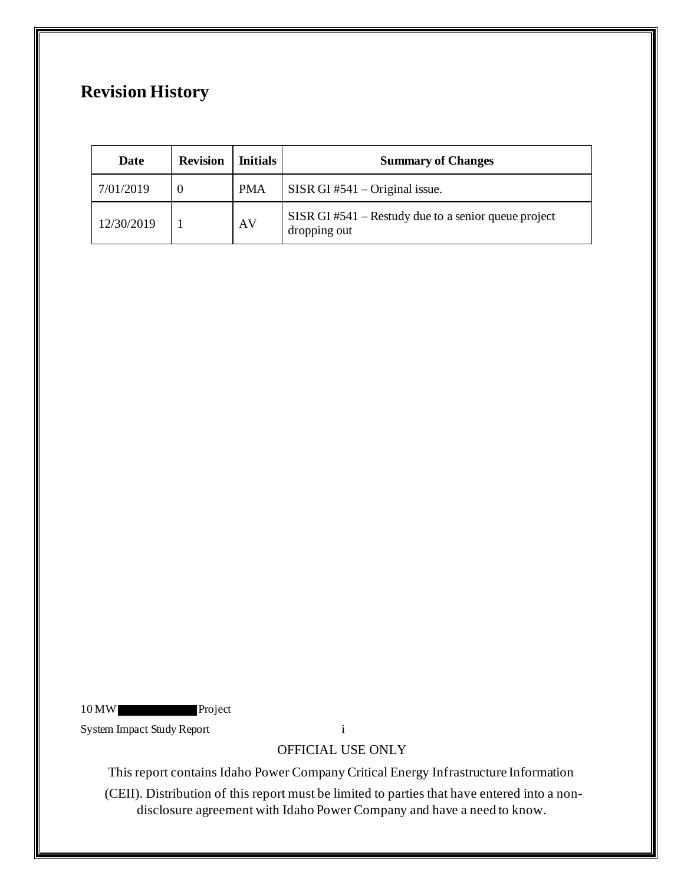# **Revision History**

| Date       | <b>Revision</b> | <b>Initials</b> | <b>Summary of Changes</b>                                              |
|------------|-----------------|-----------------|------------------------------------------------------------------------|
| 7/01/2019  |                 | <b>PMA</b>      | SISR GI $#541 -$ Original issue.                                       |
| 12/30/2019 |                 | AV              | $SISR GI #541 - Restudy due to a senior queue project$<br>dropping out |

10 MW Project

System Impact Study Report i

# OFFICIAL USE ONLY

This report contains Idaho Power Company Critical Energy Infrastructure Information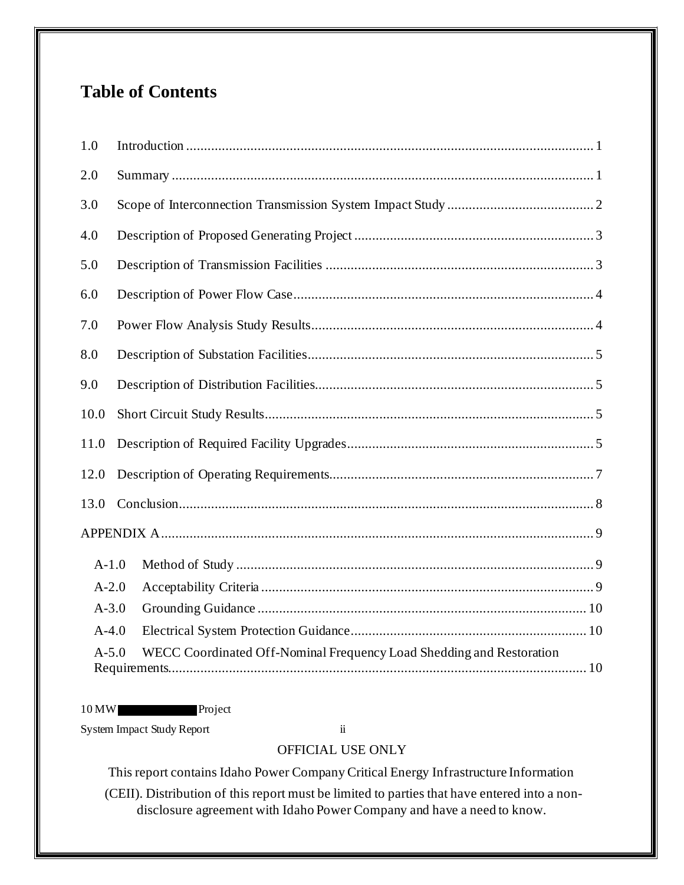# **Table of Contents**

| 1.0       |                                                                      |  |  |
|-----------|----------------------------------------------------------------------|--|--|
| 2.0       |                                                                      |  |  |
| 3.0       |                                                                      |  |  |
| 4.0       |                                                                      |  |  |
| 5.0       |                                                                      |  |  |
| 6.0       |                                                                      |  |  |
| 7.0       |                                                                      |  |  |
| 8.0       |                                                                      |  |  |
| 9.0       |                                                                      |  |  |
| 10.0      |                                                                      |  |  |
| 11.0      |                                                                      |  |  |
| 12.0      |                                                                      |  |  |
| 13.0      |                                                                      |  |  |
|           |                                                                      |  |  |
| $A-1.0$   |                                                                      |  |  |
| $A-2.0$   |                                                                      |  |  |
| $A - 3.0$ |                                                                      |  |  |
| $A-4.0$   |                                                                      |  |  |
| $A - 5.0$ | WECC Coordinated Off-Nominal Frequency Load Shedding and Restoration |  |  |

## 10 MW Project

System Impact Study Report ii

## OFFICIAL USE ONLY

This report contains Idaho Power Company Critical Energy Infrastructure Information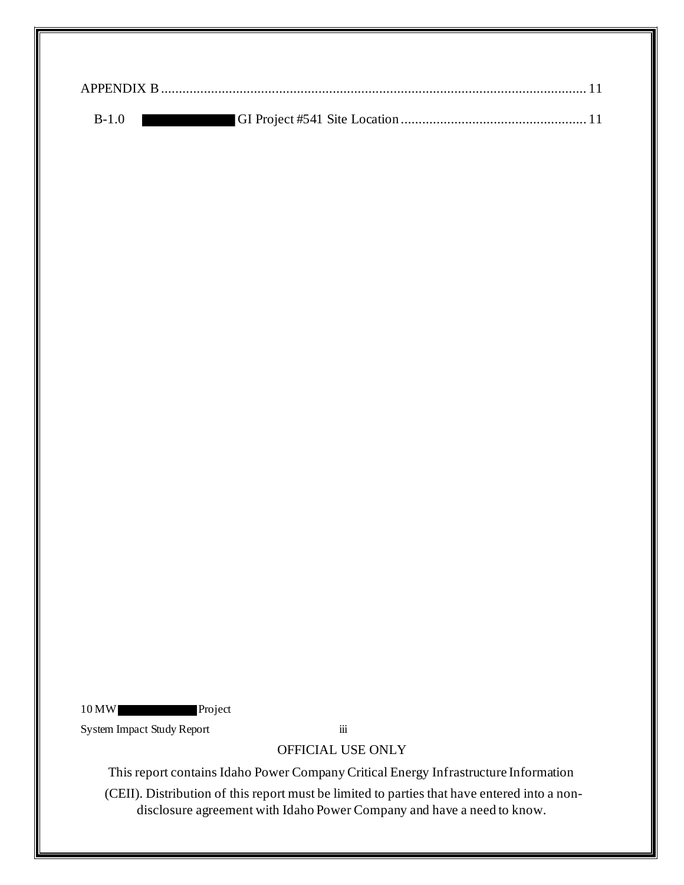| $B-1.0$ |  |
|---------|--|

10 MW Project

System Impact Study Report iii

## OFFICIAL USE ONLY

This report contains Idaho Power Company Critical Energy Infrastructure Information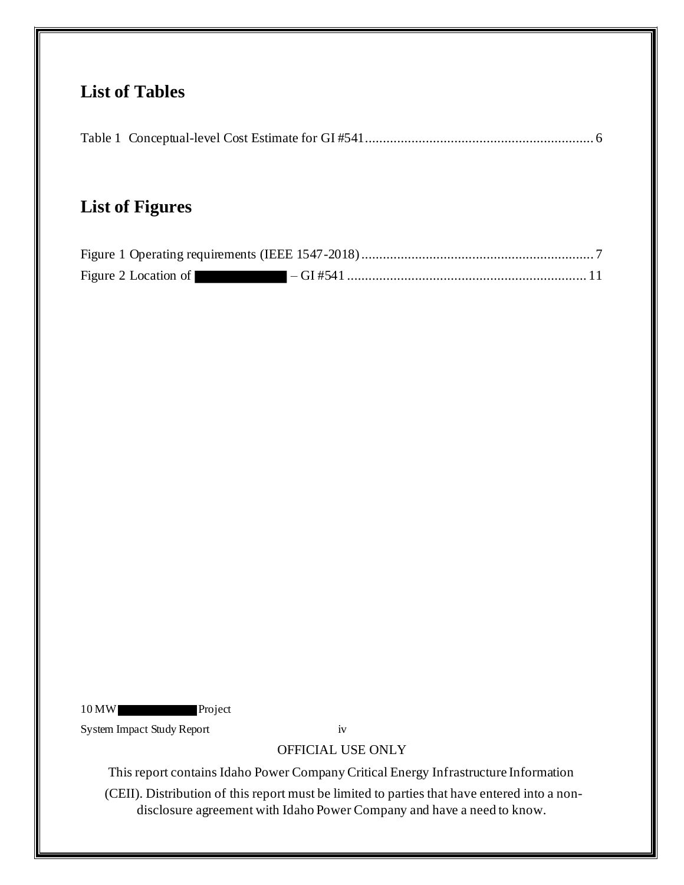# **List of Tables**

|--|--|--|

# **List of Figures**

| Figure 2 Location of |  |
|----------------------|--|

10 MW Project

System Impact Study Report iv

## OFFICIAL USE ONLY

This report contains Idaho Power Company Critical Energy Infrastructure Information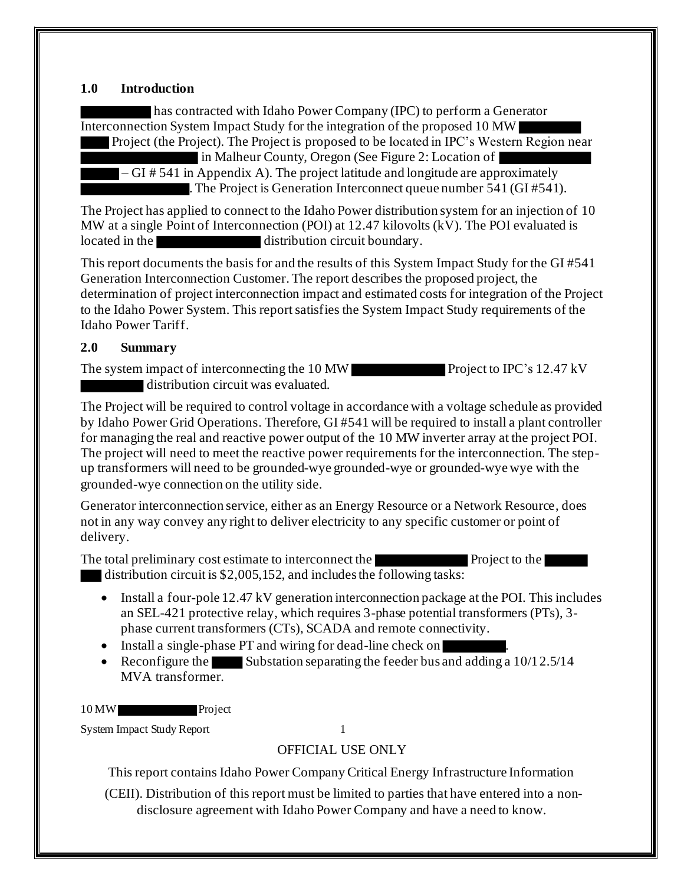#### **1.0 Introduction**

has contracted with Idaho Power Company (IPC) to perform a Generator Interconnection System Impact Study for the integration of the proposed 10 MW

 Project (the Project). The Project is proposed to be located in IPC's Western Region near in Malheur County, Oregon (See Figure 2: Location of

 $-GI \# 541$  in Appendix A). The project latitude and longitude are approximately . The Project is Generation Interconnect queue number 541 (GI #541).

The Project has applied to connect to the Idaho Power distribution system for an injection of 10 MW at a single Point of Interconnection (POI) at 12.47 kilovolts (kV). The POI evaluated is located in the distribution circuit boundary.

This report documents the basis for and the results of this System Impact Study for the GI #541 Generation Interconnection Customer. The report describes the proposed project, the determination of project interconnection impact and estimated costs for integration of the Project to the Idaho Power System. This report satisfies the System Impact Study requirements of the Idaho Power Tariff.

#### **2.0 Summary**

The system impact of interconnecting the 10 MW Project to IPC's 12.47 kV distribution circuit was evaluated.

The Project will be required to control voltage in accordance with a voltage schedule as provided by Idaho Power Grid Operations. Therefore, GI #541 will be required to install a plant controller for managing the real and reactive power output of the 10 MW inverter array at the project POI. The project will need to meet the reactive power requirements for the interconnection. The stepup transformers will need to be grounded-wye grounded-wye or grounded-wye wye with the grounded-wye connection on the utility side.

Generator interconnection service, either as an Energy Resource or a Network Resource, does not in any way convey any right to deliver electricity to any specific customer or point of delivery.

The total preliminary cost estimate to interconnect the Project to the Project to the Project of the Project of the Project of the Project of the Project of the Project of the Project of the Project of the Project of the P distribution circuit is \$2,005,152, and includes the following tasks:

- Install a four-pole 12.47 kV generation interconnection package at the POI. This includes an SEL-421 protective relay, which requires 3-phase potential transformers (PTs), 3 phase current transformers (CTs), SCADA and remote connectivity.
- Install a single-phase PT and wiring for dead-line check on
- Reconfigure the Substation separating the feeder bus and adding a  $10/12.5/14$ MVA transformer.

10 MW Project

System Impact Study Report 1

OFFICIAL USE ONLY

This report contains Idaho Power Company Critical Energy Infrastructure Information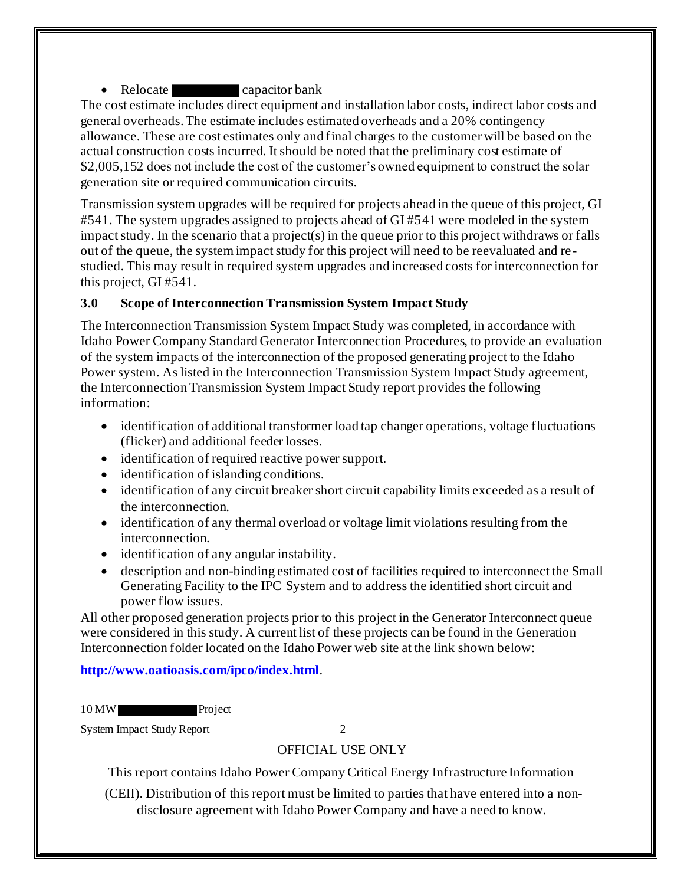• Relocate capacitor bank

The cost estimate includes direct equipment and installation labor costs, indirect labor costs and general overheads. The estimate includes estimated overheads and a 20% contingency allowance. These are cost estimates only and final charges to the customer will be based on the actual construction costs incurred. It should be noted that the preliminary cost estimate of \$2,005,152 does not include the cost of the customer's owned equipment to construct the solar generation site or required communication circuits.

Transmission system upgrades will be required for projects ahead in the queue of this project, GI #541. The system upgrades assigned to projects ahead of GI #541 were modeled in the system impact study. In the scenario that a project(s) in the queue prior to this project withdraws or falls out of the queue, the system impact study for this project will need to be reevaluated and re studied. This may result in required system upgrades and increased costs for interconnection for this project, GI #541.

## **3.0 Scope of Interconnection Transmission System Impact Study**

The Interconnection Transmission System Impact Study was completed, in accordance with Idaho Power Company Standard Generator Interconnection Procedures, to provide an evaluation of the system impacts of the interconnection of the proposed generating project to the Idaho Power system. As listed in the Interconnection Transmission System Impact Study agreement, the Interconnection Transmission System Impact Study report provides the following information:

- identification of additional transformer load tap changer operations, voltage fluctuations (flicker) and additional feeder losses.
- identification of required reactive power support.
- identification of islanding conditions.
- identification of any circuit breaker short circuit capability limits exceeded as a result of the interconnection.
- identification of any thermal overload or voltage limit violations resulting from the interconnection.
- identification of any angular instability.
- description and non-binding estimated cost of facilities required to interconnect the Small Generating Facility to the IPC System and to address the identified short circuit and power flow issues.

All other proposed generation projects prior to this project in the Generator Interconnect queue were considered in this study. A current list of these projects can be found in the Generation Interconnection folder located on the Idaho Power web site at the link shown below:

**http://www.oatioasis.com/ipco/index.html**.

10 MW Project

System Impact Study Report 2

## OFFICIAL USE ONLY

This report contains Idaho Power Company Critical Energy Infrastructure Information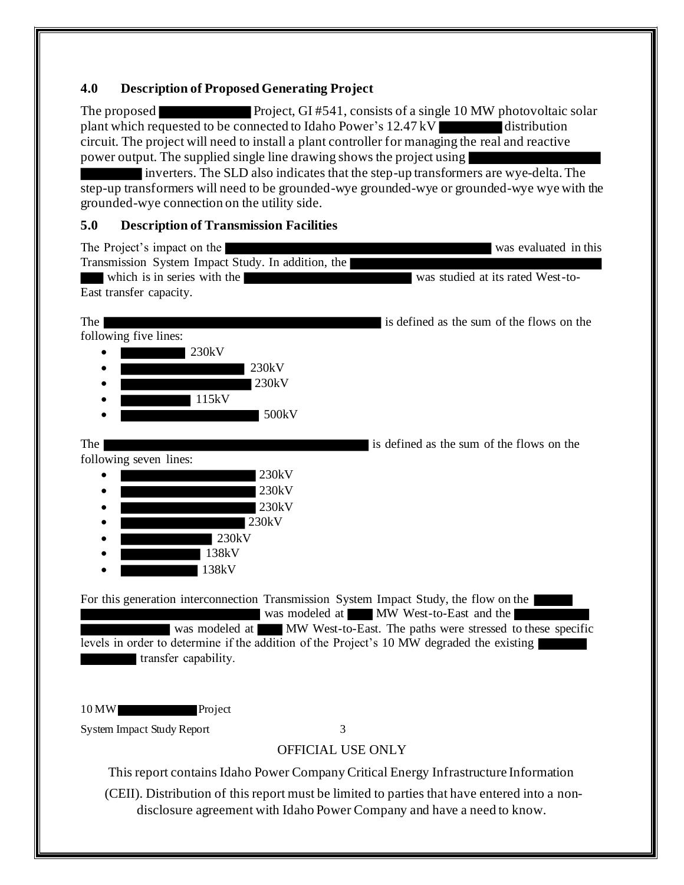### **4.0 Description of Proposed Generating Project**

The proposed Project, GI #541, consists of a single 10 MW photovoltaic solar plant which requested to be connected to Idaho Power's  $12.47 \text{ kV}$  distribution circuit. The project will need to install a plant controller for managing the real and reactive power output. The supplied single line drawing shows the project using

inverters. The SLD also indicates that the step-up transformers are wye-delta. The step-up transformers will need to be grounded-wye grounded-wye or grounded-wye wye with the grounded-wye connection on the utility side.

### **5.0 Description of Transmission Facilities**

| The Project's impact on the                                                                                                                                                                                  | was evaluated in this                                                                                                                                                  |
|--------------------------------------------------------------------------------------------------------------------------------------------------------------------------------------------------------------|------------------------------------------------------------------------------------------------------------------------------------------------------------------------|
| Transmission System Impact Study. In addition, the<br>which is in series with the<br>East transfer capacity.                                                                                                 | was studied at its rated West-to-                                                                                                                                      |
| The                                                                                                                                                                                                          | is defined as the sum of the flows on the                                                                                                                              |
| following five lines:                                                                                                                                                                                        |                                                                                                                                                                        |
| 230kV                                                                                                                                                                                                        |                                                                                                                                                                        |
| 230kV<br>230kV                                                                                                                                                                                               |                                                                                                                                                                        |
| 115kV                                                                                                                                                                                                        |                                                                                                                                                                        |
| 500kV                                                                                                                                                                                                        |                                                                                                                                                                        |
|                                                                                                                                                                                                              |                                                                                                                                                                        |
| The<br>following seven lines:                                                                                                                                                                                | is defined as the sum of the flows on the                                                                                                                              |
| 230kV                                                                                                                                                                                                        |                                                                                                                                                                        |
| 230kV                                                                                                                                                                                                        |                                                                                                                                                                        |
| 230kV                                                                                                                                                                                                        |                                                                                                                                                                        |
| 230kV                                                                                                                                                                                                        |                                                                                                                                                                        |
| 230kV<br>138kV                                                                                                                                                                                               |                                                                                                                                                                        |
| 138kV                                                                                                                                                                                                        |                                                                                                                                                                        |
|                                                                                                                                                                                                              |                                                                                                                                                                        |
| For this generation interconnection Transmission System Impact Study, the flow on the  <br>levels in order to determine if the addition of the Project's 10 MW degraded the existing<br>transfer capability. | was modeled at MW West-to-East and the<br>was modeled at MW West-to-East. The paths were stressed to these specific                                                    |
| 10 MW<br>Project                                                                                                                                                                                             |                                                                                                                                                                        |
| <b>System Impact Study Report</b>                                                                                                                                                                            | 3                                                                                                                                                                      |
|                                                                                                                                                                                                              | OFFICIAL USE ONLY                                                                                                                                                      |
|                                                                                                                                                                                                              | This report contains Idaho Power Company Critical Energy Infrastructure Information                                                                                    |
|                                                                                                                                                                                                              | (CEII). Distribution of this report must be limited to parties that have entered into a non-<br>disclosure agreement with Idaho Power Company and have a need to know. |
|                                                                                                                                                                                                              |                                                                                                                                                                        |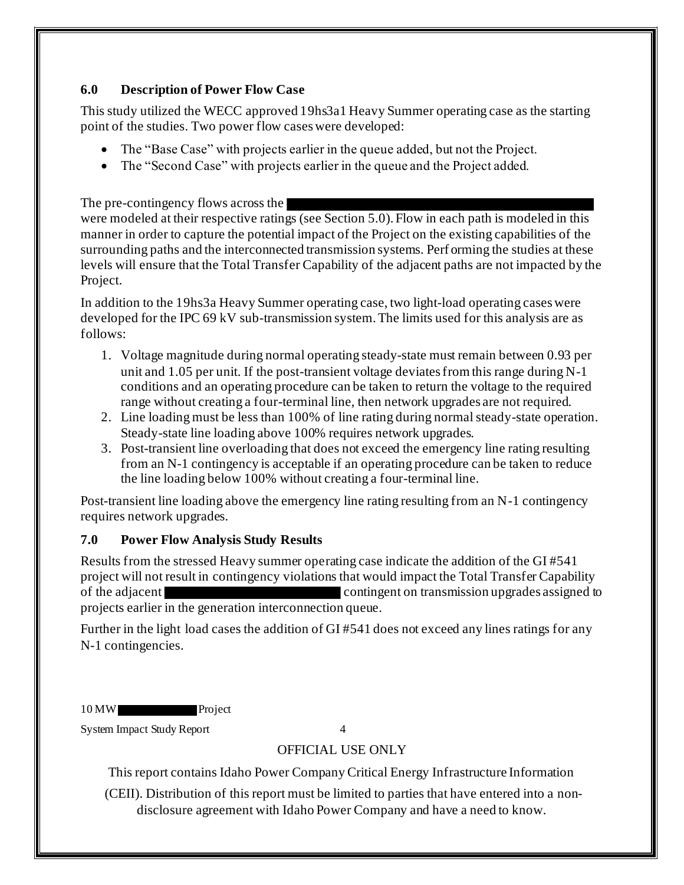### **6.0 Description of Power Flow Case**

This study utilized the WECC approved 19hs3a1 Heavy Summer operating case as the starting point of the studies. Two power flow cases were developed:

- The "Base Case" with projects earlier in the queue added, but not the Project.
- The "Second Case" with projects earlier in the queue and the Project added.

The pre-contingency flows across the

were modeled at their respective ratings (see Section 5.0). Flow in each path is modeled in this manner in order to capture the potential impact of the Project on the existing capabilities of the surrounding paths and the interconnected transmission systems. Perf orming the studies at these levels will ensure that the Total Transfer Capability of the adjacent paths are not impacted by the Project.

In addition to the 19hs3a Heavy Summer operating case, two light-load operating cases were developed for the IPC 69 kV sub-transmission system. The limits used for this analysis are as follows:

- 1. Voltage magnitude during normal operating steady-state must remain between 0.93 per unit and 1.05 per unit. If the post-transient voltage deviates from this range during N-1 conditions and an operating procedure can be taken to return the voltage to the required range without creating a four-terminal line, then network upgrades are not required.
- 2. Line loading must be less than 100% of line rating during normal steady-state operation. Steady-state line loading above 100% requires network upgrades.
- 3. Post-transient line overloading that does not exceed the emergency line rating resulting from an N-1 contingency is acceptable if an operating procedure can be taken to reduce the line loading below 100% without creating a four-terminal line.

Post-transient line loading above the emergency line rating resulting from an N-1 contingency requires network upgrades.

## **7.0 Power Flow Analysis Study Results**

Results from the stressed Heavy summer operating case indicate the addition of the GI #541 project will not result in contingency violations that would impact the Total Transfer Capability of the adjacent contingent on transmission upgrades assigned to projects earlier in the generation interconnection queue.

Further in the light load cases the addition of GI #541 does not exceed any lines ratings for any N-1 contingencies.

10 MW Project

System Impact Study Report 4

## OFFICIAL USE ONLY

This report contains Idaho Power Company Critical Energy Infrastructure Information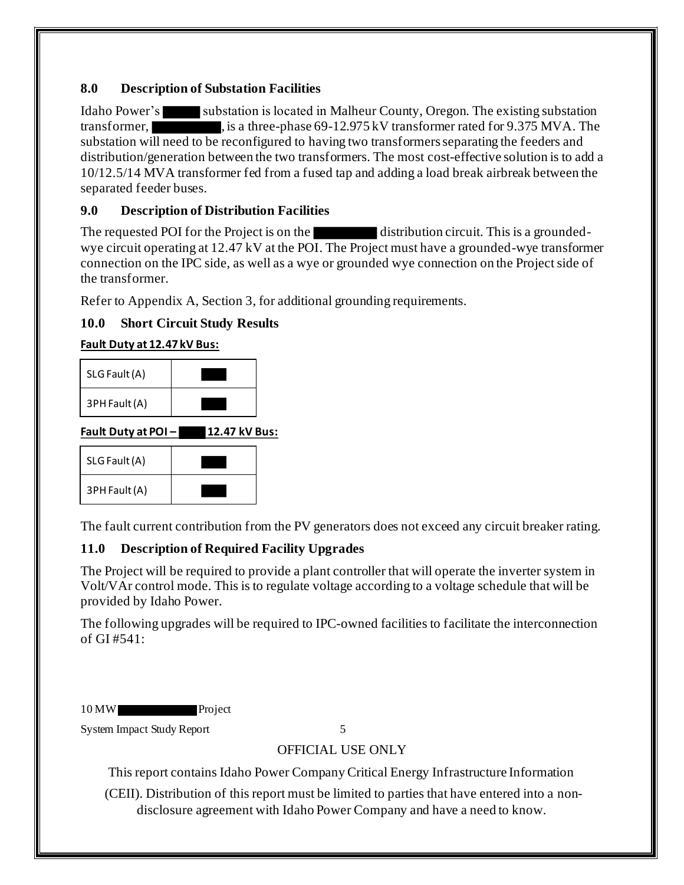## **8.0 Description of Substation Facilities**

Idaho Power's substation is located in Malheur County, Oregon. The existing substation transformer, is a three-phase 69-12.975 kV transformer rated for 9.375 MVA. The substation will need to be reconfigured to having two transformers separating the feeders and distribution/generation between the two transformers. The most cost-effective solution is to add a 10/12.5/14 MVA transformer fed from a fused tap and adding a load break airbreak between the separated feeder buses.

## **9.0 Description of Distribution Facilities**

The requested POI for the Project is on the distribution circuit. This is a groundedwye circuit operating at 12.47 kV at the POI. The Project must have a grounded-wye transformer connection on the IPC side, as well as a wye or grounded wye connection on the Project side of the transformer.

Refer to Appendix A, Section 3, for additional grounding requirements.

## **10.0 Short Circuit Study Results**

## **Fault Duty at 12.47 kV Bus:**

| SLG Fault (A) |  |
|---------------|--|
| 3PH Fault (A) |  |

**Fault Duty at POI – 12.47 kV Bus:**

| SLG Fault (A) |  |
|---------------|--|
| 3PH Fault (A) |  |

The fault current contribution from the PV generators does not exceed any circuit breaker rating.

## **11.0 Description of Required Facility Upgrades**

The Project will be required to provide a plant controller that will operate the inverter system in Volt/VAr control mode. This is to regulate voltage according to a voltage schedule that will be provided by Idaho Power.

The following upgrades will be required to IPC-owned facilities to facilitate the interconnection of GI #541:

| $10$ MW |  | Project |
|---------|--|---------|
|---------|--|---------|

System Impact Study Report 5

## OFFICIAL USE ONLY

This report contains Idaho Power Company Critical Energy Infrastructure Information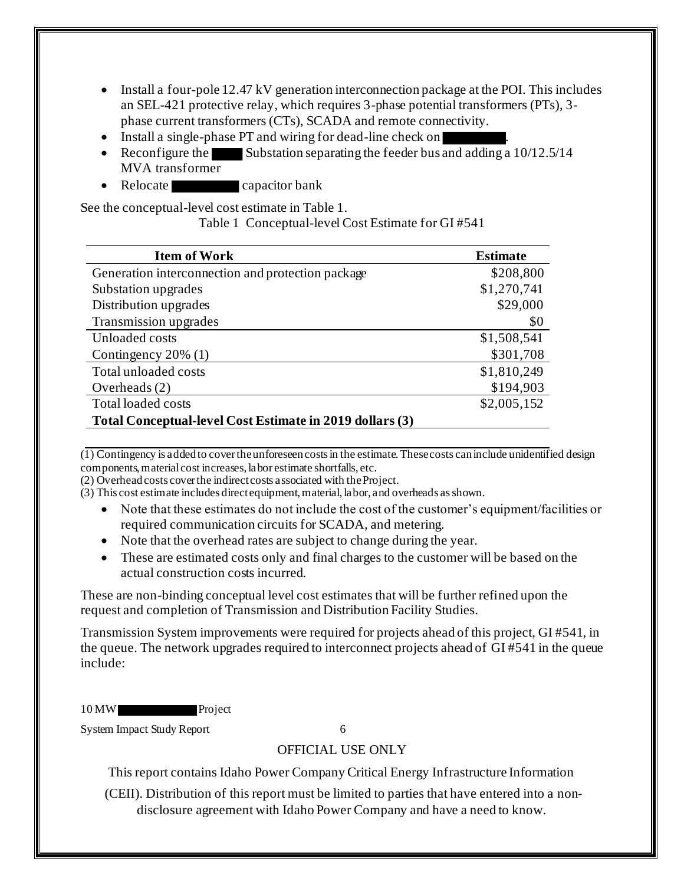- Install a four-pole 12.47 kV generation interconnection package at the POI. This includes an SEL-421 protective relay, which requires 3-phase potential transformers (PTs), 3 phase current transformers (CTs), SCADA and remote connectivity.
- Install a single-phase PT and wiring for dead-line check on
- Reconfigure the Substation separating the feeder bus and adding a  $10/12.5/14$ MVA transformer
- Relocate capacitor bank

See the conceptual-level cost estimate in Table 1.

Table 1 Conceptual-level Cost Estimate for GI #541

| <b>Item of Work</b>                                      | <b>Estimate</b> |  |
|----------------------------------------------------------|-----------------|--|
| Generation interconnection and protection package        | \$208,800       |  |
| Substation upgrades                                      | \$1,270,741     |  |
| Distribution upgrades                                    | \$29,000        |  |
| Transmission upgrades                                    | \$0             |  |
| Unloaded costs                                           | \$1,508,541     |  |
| Contingency 20% (1)                                      | \$301,708       |  |
| Total unloaded costs                                     | \$1,810,249     |  |
| Overheads $(2)$                                          | \$194,903       |  |
| <b>Total loaded costs</b>                                | \$2,005,152     |  |
| Total Conceptual-level Cost Estimate in 2019 dollars (3) |                 |  |

 $\overline{(1)}$  Contingency is added to cover the unforeseen costs in the estimate. These costs can include unidentified design components, material cost increases, labor estimate shortfalls, etc.

(2) Overhead costs cover the indirect costs associated with the Project.

- (3) This cost estimate includes direct equipment, material, labor, and overheads as shown.
	- Note that these estimates do not include the cost of the customer's equipment/facilities or required communication circuits for SCADA, and metering.
	- Note that the overhead rates are subject to change during the year.
	- These are estimated costs only and final charges to the customer will be based on the actual construction costs incurred.

These are non-binding conceptual level cost estimates that will be further refined upon the request and completion of Transmission and Distribution Facility Studies.

Transmission System improvements were required for projects ahead of this project, GI #541, in the queue. The network upgrades required to interconnect projects ahead of GI #541 in the queue include:

10 MW Project

System Impact Study Report 6

## OFFICIAL USE ONLY

This report contains Idaho Power Company Critical Energy Infrastructure Information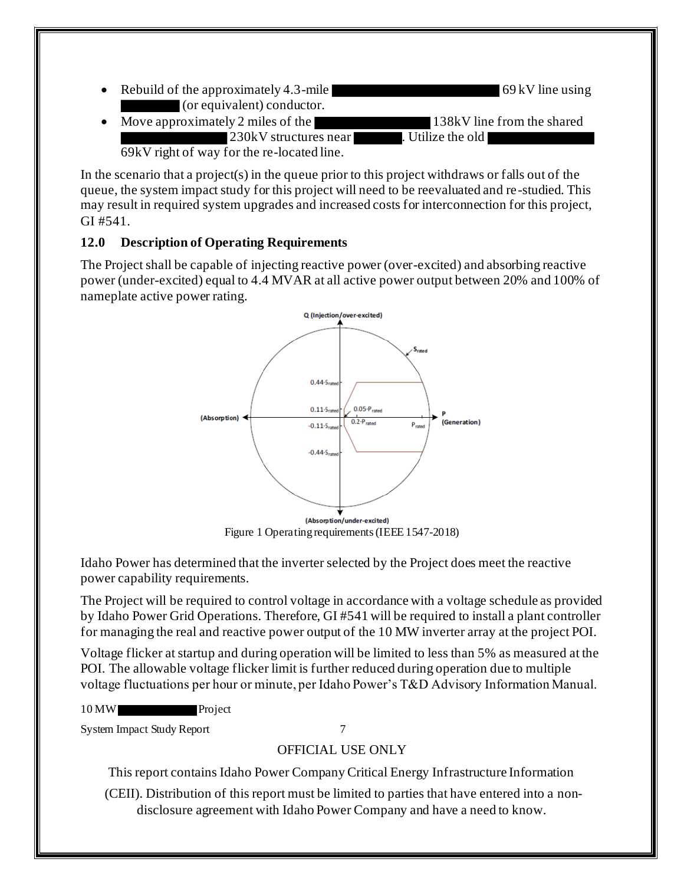• Rebuild of the approximately 4.3-mile  $\bullet$  69 kV line using (or equivalent) conductor. Move approximately 2 miles of the 138kV line from the shared 230kV structures near . Utilize the old

69kV right of way for the re-located line.

In the scenario that a project(s) in the queue prior to this project withdraws or falls out of the queue, the system impact study for this project will need to be reevaluated and re-studied. This may result in required system upgrades and increased costs for interconnection for this project, GI #541.

## **12.0 Description of Operating Requirements**

The Project shall be capable of injecting reactive power (over-excited) and absorbing reactive power (under-excited) equal to 4.4 MVAR at all active power output between 20% and 100% of nameplate active power rating.



Idaho Power has determined that the inverter selected by the Project does meet the reactive power capability requirements.

The Project will be required to control voltage in accordance with a voltage schedule as provided by Idaho Power Grid Operations. Therefore, GI #541 will be required to install a plant controller for managing the real and reactive power output of the 10 MW inverter array at the project POI.

Voltage flicker at startup and during operation will be limited to less than 5% as measured at the POI. The allowable voltage flicker limit is further reduced during operation due to multiple voltage fluctuations per hour or minute, per Idaho Power's T&D Advisory Information Manual.



System Impact Study Report 7

## OFFICIAL USE ONLY

This report contains Idaho Power Company Critical Energy Infrastructure Information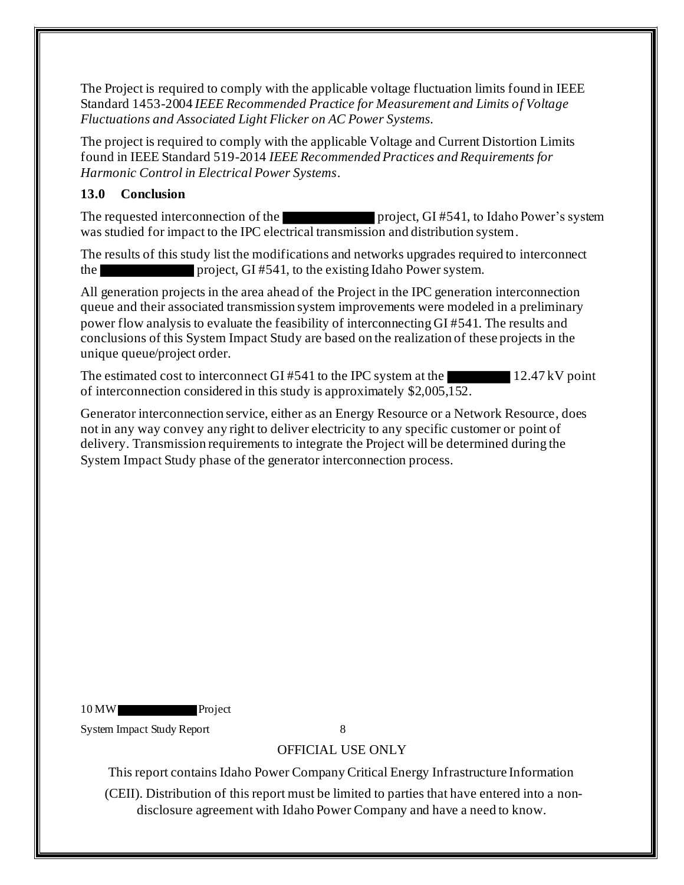The Project is required to comply with the applicable voltage fluctuation limits found in IEEE Standard 1453-2004 *IEEE Recommended Practice for Measurement and Limits of Voltage Fluctuations and Associated Light Flicker on AC Power Systems.* 

The project is required to comply with the applicable Voltage and Current Distortion Limits found in IEEE Standard 519-2014 *IEEE Recommended Practices and Requirements for Harmonic Control in Electrical Power Systems*.

## **13.0 Conclusion**

The requested interconnection of the project, GI #541, to Idaho Power's system was studied for impact to the IPC electrical transmission and distribution system.

The results of this study list the modifications and networks upgrades required to interconnect the project, GI #541, to the existing Idaho Power system.

All generation projects in the area ahead of the Project in the IPC generation interconnection queue and their associated transmission system improvements were modeled in a preliminary power flow analysis to evaluate the feasibility of interconnecting GI #541. The results and conclusions of this System Impact Study are based on the realization of these projects in the unique queue/project order.

The estimated cost to interconnect GI #541 to the IPC system at the 12.47 kV point of interconnection considered in this study is approximately \$2,005,152.

Generator interconnection service, either as an Energy Resource or a Network Resource, does not in any way convey any right to deliver electricity to any specific customer or point of delivery. Transmission requirements to integrate the Project will be determined during the System Impact Study phase of the generator interconnection process.

10 MW Project

System Impact Study Report 8

## OFFICIAL USE ONLY

This report contains Idaho Power Company Critical Energy Infrastructure Information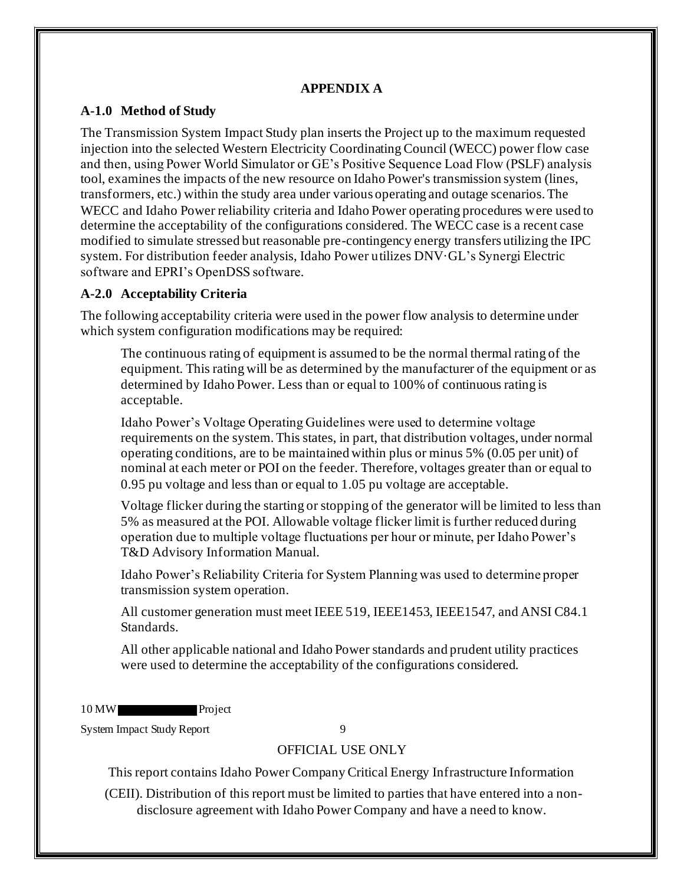#### **APPENDIX A**

### **A-1.0 Method of Study**

The Transmission System Impact Study plan inserts the Project up to the maximum requested injection into the selected Western Electricity Coordinating Council (WECC) power flow case and then, using Power World Simulator or GE's Positive Sequence Load Flow (PSLF) analysis tool, examines the impacts of the new resource on Idaho Power's transmission system (lines, transformers, etc.) within the study area under various operating and outage scenarios. The WECC and Idaho Power reliability criteria and Idaho Power operating procedures were used to determine the acceptability of the configurations considered. The WECC case is a recent case modified to simulate stressed but reasonable pre-contingency energy transfers utilizing the IPC system. For distribution feeder analysis, Idaho Power utilizes DNV·GL's Synergi Electric software and EPRI's OpenDSS software.

## **A-2.0 Acceptability Criteria**

The following acceptability criteria were used in the power flow analysis to determine under which system configuration modifications may be required:

The continuous rating of equipment is assumed to be the normal thermal rating of the equipment. This rating will be as determined by the manufacturer of the equipment or as determined by Idaho Power. Less than or equal to 100% of continuous rating is acceptable.

Idaho Power's Voltage Operating Guidelines were used to determine voltage requirements on the system. This states, in part, that distribution voltages, under normal operating conditions, are to be maintained within plus or minus 5% (0.05 per unit) of nominal at each meter or POI on the feeder. Therefore, voltages greater than or equal to 0.95 pu voltage and less than or equal to 1.05 pu voltage are acceptable.

Voltage flicker during the starting or stopping of the generator will be limited to less than 5% as measured at the POI. Allowable voltage flicker limit is further reduced during operation due to multiple voltage fluctuations per hour or minute, per Idaho Power's T&D Advisory Information Manual.

Idaho Power's Reliability Criteria for System Planning was used to determine proper transmission system operation.

All customer generation must meet IEEE 519, IEEE1453, IEEE1547, and ANSI C84.1 Standards.

All other applicable national and Idaho Power standards and prudent utility practices were used to determine the acceptability of the configurations considered.

10 MW Project

System Impact Study Report 9

## OFFICIAL USE ONLY

This report contains Idaho Power Company Critical Energy Infrastructure Information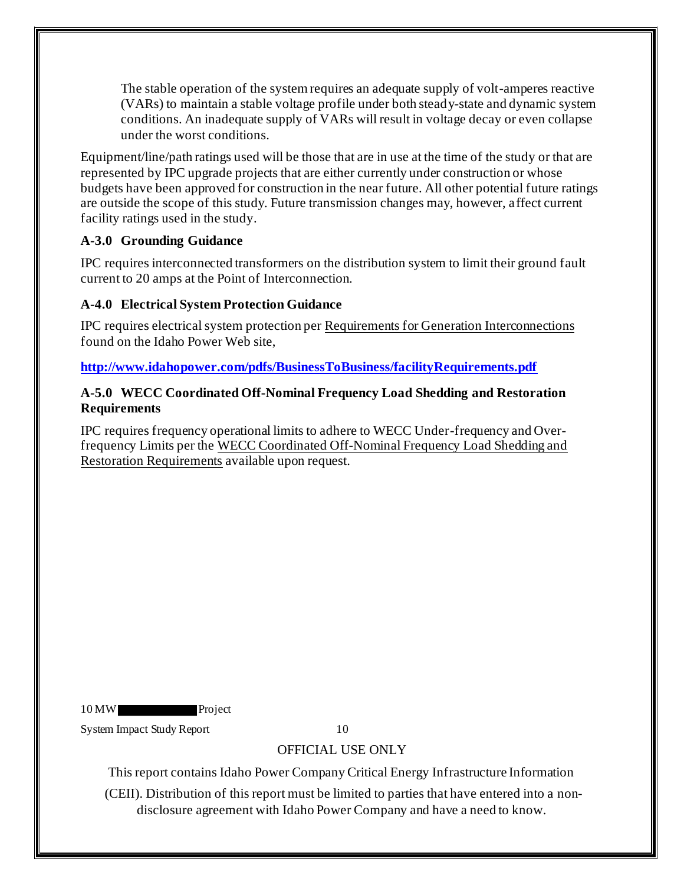The stable operation of the system requires an adequate supply of volt-amperes reactive (VARs) to maintain a stable voltage profile under both steady-state and dynamic system conditions. An inadequate supply of VARs will result in voltage decay or even collapse under the worst conditions.

Equipment/line/path ratings used will be those that are in use at the time of the study or that are represented by IPC upgrade projects that are either currently under construction or whose budgets have been approved for construction in the near future. All other potential future ratings are outside the scope of this study. Future transmission changes may, however, affect current facility ratings used in the study.

## **A-3.0 Grounding Guidance**

IPC requires interconnected transformers on the distribution system to limit their ground fault current to 20 amps at the Point of Interconnection.

### **A-4.0 Electrical System Protection Guidance**

IPC requires electrical system protection per Requirements for Generation Interconnections found on the Idaho Power Web site,

**http://www.idahopower.com/pdfs/BusinessToBusiness/facilityRequirements.pdf**

#### **A-5.0 WECC Coordinated Off-Nominal Frequency Load Shedding and Restoration Requirements**

IPC requires frequency operational limits to adhere to WECC Under-frequency and Overfrequency Limits per the WECC Coordinated Off-Nominal Frequency Load Shedding and Restoration Requirements available upon request.

10 MW Project

System Impact Study Report 10

## OFFICIAL USE ONLY

This report contains Idaho Power Company Critical Energy Infrastructure Information